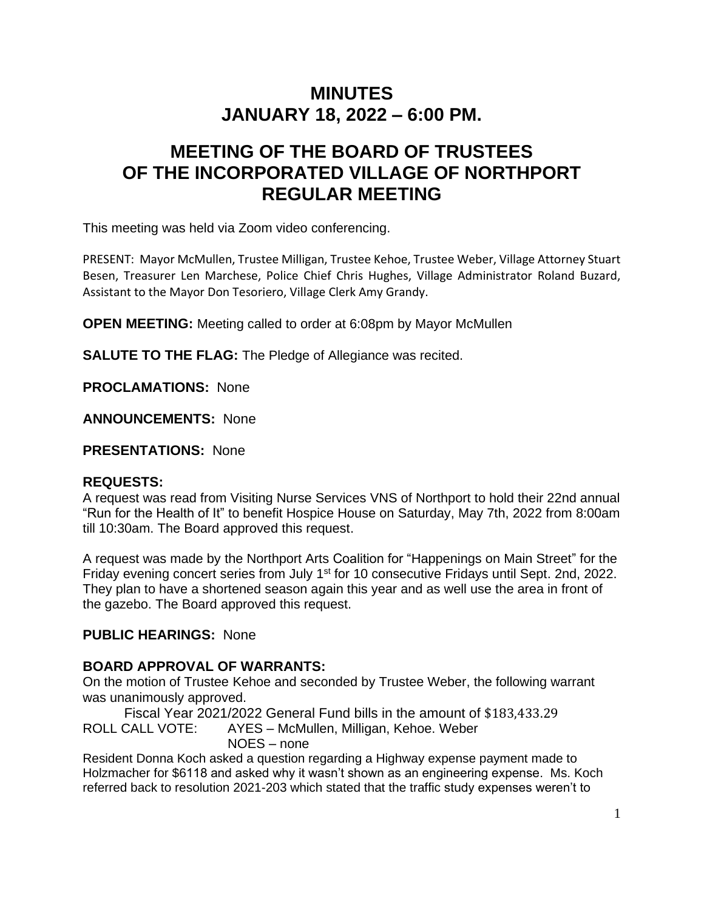# **MINUTES JANUARY 18, 2022 – 6:00 PM.**

# **MEETING OF THE BOARD OF TRUSTEES OF THE INCORPORATED VILLAGE OF NORTHPORT REGULAR MEETING**

This meeting was held via Zoom video conferencing.

PRESENT: Mayor McMullen, Trustee Milligan, Trustee Kehoe, Trustee Weber, Village Attorney Stuart Besen, Treasurer Len Marchese, Police Chief Chris Hughes, Village Administrator Roland Buzard, Assistant to the Mayor Don Tesoriero, Village Clerk Amy Grandy.

**OPEN MEETING:** Meeting called to order at 6:08pm by Mayor McMullen

**SALUTE TO THE FLAG:** The Pledge of Allegiance was recited.

**PROCLAMATIONS:** None

**ANNOUNCEMENTS:** None

**PRESENTATIONS:** None

## **REQUESTS:**

A request was read from Visiting Nurse Services VNS of Northport to hold their 22nd annual "Run for the Health of It" to benefit Hospice House on Saturday, May 7th, 2022 from 8:00am till 10:30am. The Board approved this request.

A request was made by the Northport Arts Coalition for "Happenings on Main Street" for the Friday evening concert series from July 1<sup>st</sup> for 10 consecutive Fridays until Sept. 2nd, 2022. They plan to have a shortened season again this year and as well use the area in front of the gazebo. The Board approved this request.

# **PUBLIC HEARINGS:** None

# **BOARD APPROVAL OF WARRANTS:**

On the motion of Trustee Kehoe and seconded by Trustee Weber, the following warrant was unanimously approved.

Fiscal Year 2021/2022 General Fund bills in the amount of \$183,433.29 ROLL CALL VOTE: AYES – McMullen, Milligan, Kehoe. Weber NOES – none

Resident Donna Koch asked a question regarding a Highway expense payment made to Holzmacher for \$6118 and asked why it wasn't shown as an engineering expense. Ms. Koch referred back to resolution 2021-203 which stated that the traffic study expenses weren't to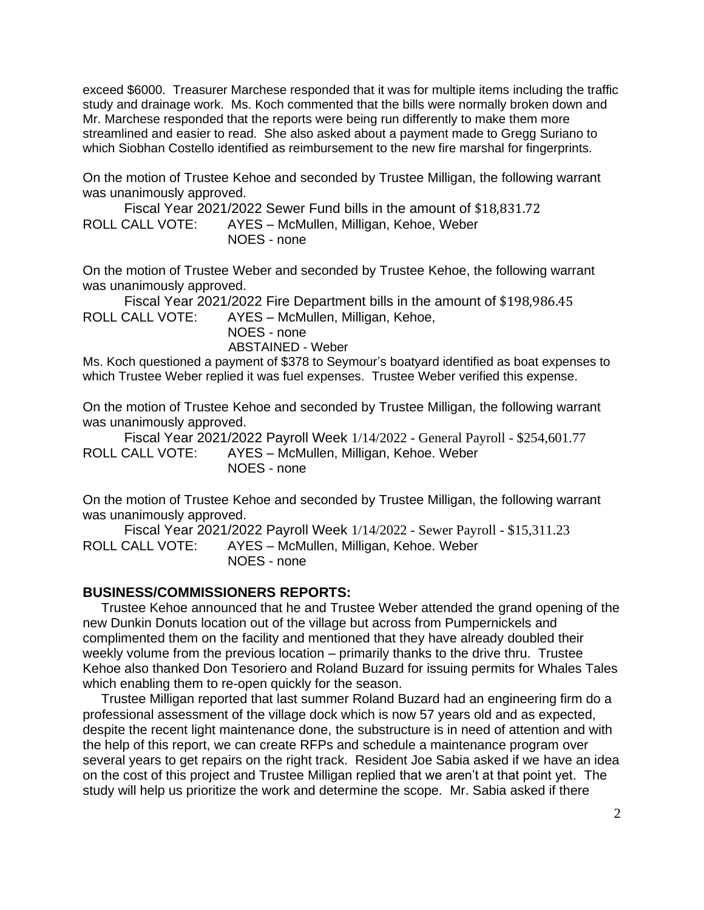exceed \$6000. Treasurer Marchese responded that it was for multiple items including the traffic study and drainage work. Ms. Koch commented that the bills were normally broken down and Mr. Marchese responded that the reports were being run differently to make them more streamlined and easier to read. She also asked about a payment made to Gregg Suriano to which Siobhan Costello identified as reimbursement to the new fire marshal for fingerprints.

On the motion of Trustee Kehoe and seconded by Trustee Milligan, the following warrant was unanimously approved.

Fiscal Year 2021/2022 Sewer Fund bills in the amount of \$18,831.72 ROLL CALL VOTE: AYES – McMullen, Milligan, Kehoe, Weber NOES - none

On the motion of Trustee Weber and seconded by Trustee Kehoe, the following warrant was unanimously approved.

Fiscal Year 2021/2022 Fire Department bills in the amount of \$198,986.45 ROLL CALL VOTE: AYES – McMullen, Milligan, Kehoe,

NOES - none

ABSTAINED - Weber

Ms. Koch questioned a payment of \$378 to Seymour's boatyard identified as boat expenses to which Trustee Weber replied it was fuel expenses. Trustee Weber verified this expense.

On the motion of Trustee Kehoe and seconded by Trustee Milligan, the following warrant was unanimously approved.

Fiscal Year 2021/2022 Payroll Week 1/14/2022 - General Payroll - \$254,601.77 ROLL CALL VOTE: AYES – McMullen, Milligan, Kehoe. Weber NOES - none

On the motion of Trustee Kehoe and seconded by Trustee Milligan, the following warrant was unanimously approved.

Fiscal Year 2021/2022 Payroll Week 1/14/2022 - Sewer Payroll - \$15,311.23 ROLL CALL VOTE: AYES – McMullen, Milligan, Kehoe. Weber NOES - none

## **BUSINESS/COMMISSIONERS REPORTS:**

 Trustee Kehoe announced that he and Trustee Weber attended the grand opening of the new Dunkin Donuts location out of the village but across from Pumpernickels and complimented them on the facility and mentioned that they have already doubled their weekly volume from the previous location – primarily thanks to the drive thru. Trustee Kehoe also thanked Don Tesoriero and Roland Buzard for issuing permits for Whales Tales which enabling them to re-open quickly for the season.

 Trustee Milligan reported that last summer Roland Buzard had an engineering firm do a professional assessment of the village dock which is now 57 years old and as expected, despite the recent light maintenance done, the substructure is in need of attention and with the help of this report, we can create RFPs and schedule a maintenance program over several years to get repairs on the right track. Resident Joe Sabia asked if we have an idea on the cost of this project and Trustee Milligan replied that we aren't at that point yet. The study will help us prioritize the work and determine the scope. Mr. Sabia asked if there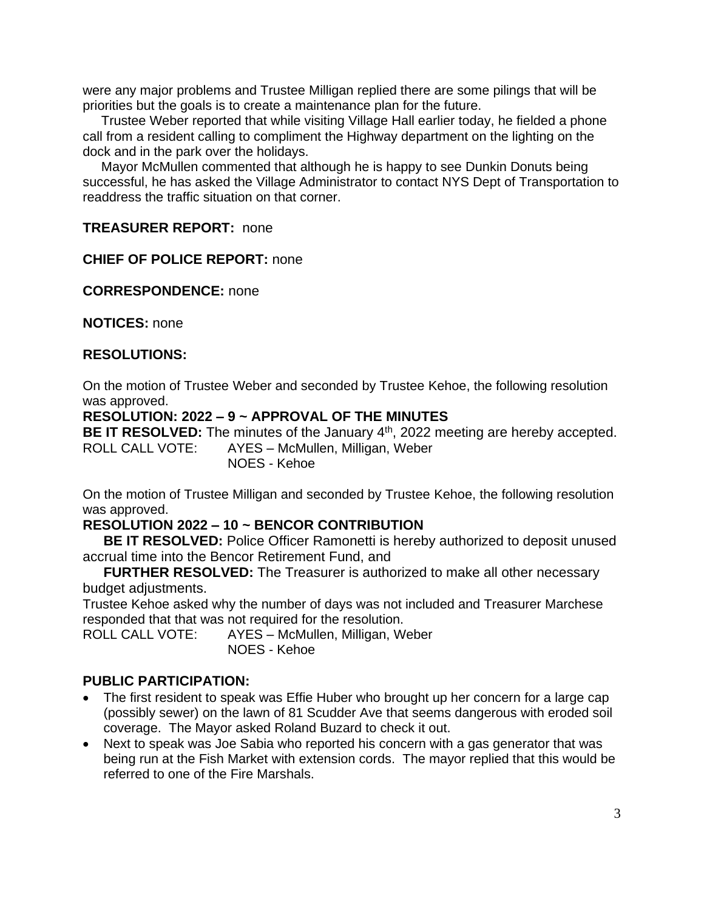were any major problems and Trustee Milligan replied there are some pilings that will be priorities but the goals is to create a maintenance plan for the future.

 Trustee Weber reported that while visiting Village Hall earlier today, he fielded a phone call from a resident calling to compliment the Highway department on the lighting on the dock and in the park over the holidays.

 Mayor McMullen commented that although he is happy to see Dunkin Donuts being successful, he has asked the Village Administrator to contact NYS Dept of Transportation to readdress the traffic situation on that corner.

## **TREASURER REPORT:** none

## **CHIEF OF POLICE REPORT:** none

**CORRESPONDENCE:** none

**NOTICES:** none

## **RESOLUTIONS:**

On the motion of Trustee Weber and seconded by Trustee Kehoe, the following resolution was approved.

## **RESOLUTION: 2022 – 9 ~ APPROVAL OF THE MINUTES**

BE IT RESOLVED: The minutes of the January 4<sup>th</sup>, 2022 meeting are hereby accepted. ROLL CALL VOTE: AYES – McMullen, Milligan, Weber

# NOES - Kehoe

On the motion of Trustee Milligan and seconded by Trustee Kehoe, the following resolution was approved.

# **RESOLUTION 2022 – 10 ~ BENCOR CONTRIBUTION**

**BE IT RESOLVED:** Police Officer Ramonetti is hereby authorized to deposit unused accrual time into the Bencor Retirement Fund, and

**FURTHER RESOLVED:** The Treasurer is authorized to make all other necessary budget adjustments.

Trustee Kehoe asked why the number of days was not included and Treasurer Marchese responded that that was not required for the resolution.

ROLL CALL VOTE: AYES – McMullen, Milligan, Weber NOES - Kehoe

# **PUBLIC PARTICIPATION:**

- The first resident to speak was Effie Huber who brought up her concern for a large cap (possibly sewer) on the lawn of 81 Scudder Ave that seems dangerous with eroded soil coverage. The Mayor asked Roland Buzard to check it out.
- Next to speak was Joe Sabia who reported his concern with a gas generator that was being run at the Fish Market with extension cords. The mayor replied that this would be referred to one of the Fire Marshals.